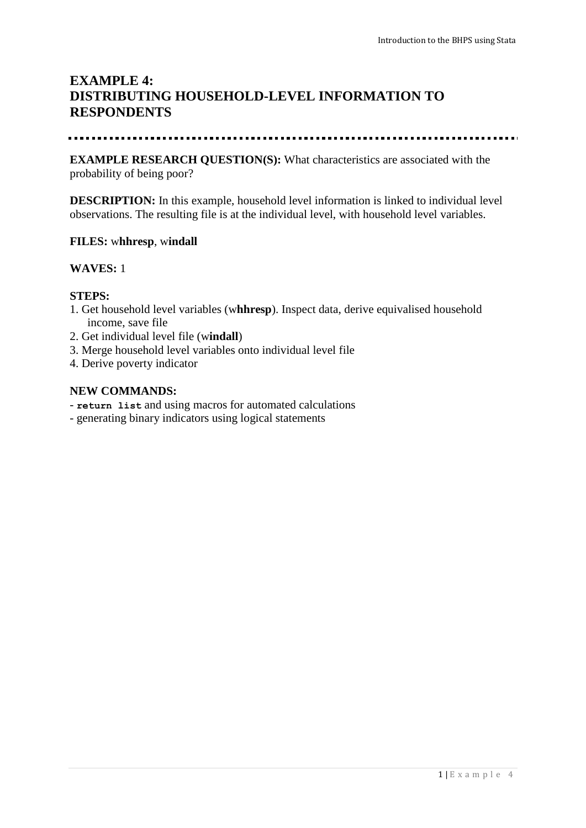# **EXAMPLE 4: DISTRIBUTING HOUSEHOLD-LEVEL INFORMATION TO RESPONDENTS**

#### 

**EXAMPLE RESEARCH QUESTION(S):** What characteristics are associated with the probability of being poor?

**DESCRIPTION:** In this example, household level information is linked to individual level observations. The resulting file is at the individual level, with household level variables.

## **FILES:** w**hhresp**, w**indall**

## **WAVES:** 1

#### **STEPS:**

- 1. Get household level variables (w**hhresp**). Inspect data, derive equivalised household income, save file
- 2. Get individual level file (w**indall**)
- 3. Merge household level variables onto individual level file
- 4. Derive poverty indicator

#### **NEW COMMANDS:**

- **return list** and using macros for automated calculations
- generating binary indicators using logical statements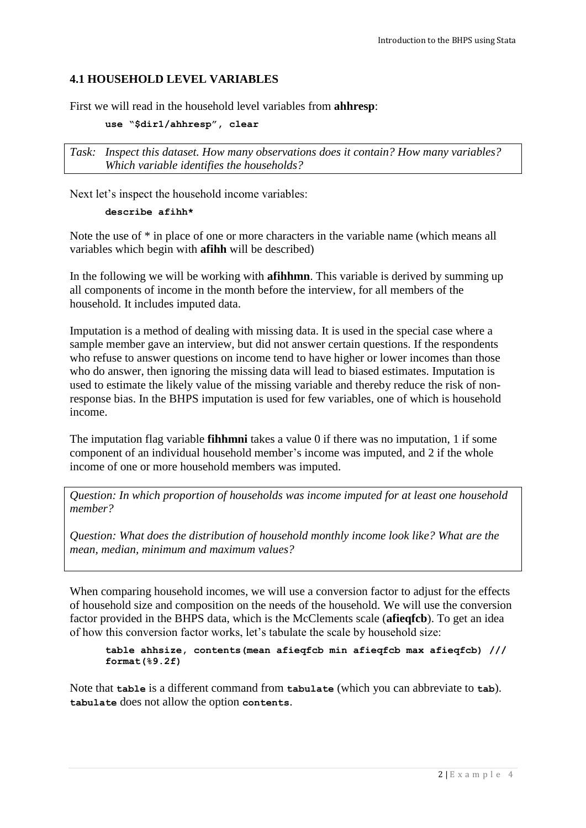# **4.1 HOUSEHOLD LEVEL VARIABLES**

First we will read in the household level variables from **ahhresp**:

**use "\$dir1/ahhresp", clear**

*Task: Inspect this dataset. How many observations does it contain? How many variables? Which variable identifies the households?*

Next let's inspect the household income variables:

#### **describe afihh\***

Note the use of \* in place of one or more characters in the variable name (which means all variables which begin with **afihh** will be described)

In the following we will be working with **afihhmn**. This variable is derived by summing up all components of income in the month before the interview, for all members of the household. It includes imputed data.

Imputation is a method of dealing with missing data. It is used in the special case where a sample member gave an interview, but did not answer certain questions. If the respondents who refuse to answer questions on income tend to have higher or lower incomes than those who do answer, then ignoring the missing data will lead to biased estimates. Imputation is used to estimate the likely value of the missing variable and thereby reduce the risk of nonresponse bias. In the BHPS imputation is used for few variables, one of which is household income.

The imputation flag variable **fihhmni** takes a value 0 if there was no imputation, 1 if some component of an individual household member's income was imputed, and 2 if the whole income of one or more household members was imputed.

*Question: In which proportion of households was income imputed for at least one household member?*

*Question: What does the distribution of household monthly income look like? What are the mean, median, minimum and maximum values?*

When comparing household incomes, we will use a conversion factor to adjust for the effects of household size and composition on the needs of the household. We will use the conversion factor provided in the BHPS data, which is the McClements scale (**afieqfcb**). To get an idea of how this conversion factor works, let's tabulate the scale by household size:

**table ahhsize, contents(mean afieqfcb min afieqfcb max afieqfcb) /// format(%9.2f)**

Note that **table** is a different command from **tabulate** (which you can abbreviate to **tab**). **tabulate** does not allow the option **contents**.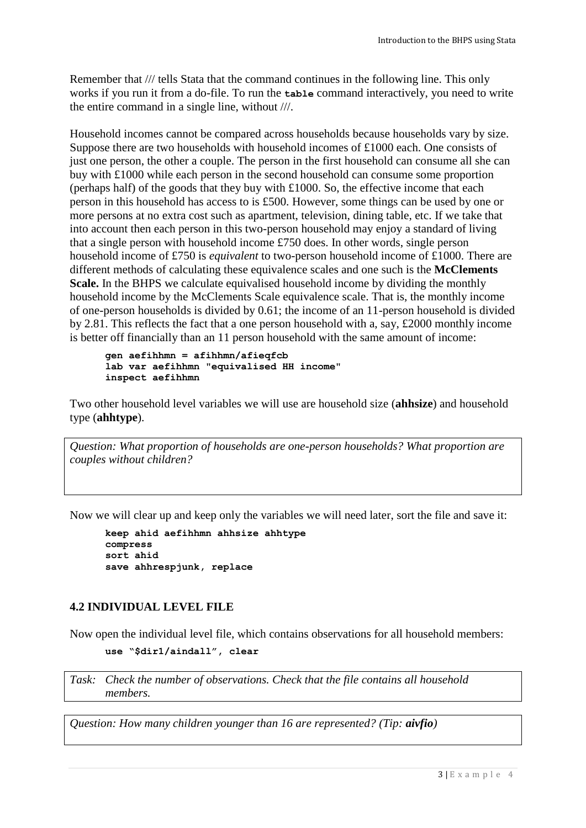Remember that /// tells Stata that the command continues in the following line. This only works if you run it from a do-file. To run the **table** command interactively, you need to write the entire command in a single line, without ///.

Household incomes cannot be compared across households because households vary by size. Suppose there are two households with household incomes of £1000 each. One consists of just one person, the other a couple. The person in the first household can consume all she can buy with £1000 while each person in the second household can consume some proportion (perhaps half) of the goods that they buy with £1000. So, the effective income that each person in this household has access to is £500. However, some things can be used by one or more persons at no extra cost such as apartment, television, dining table, etc. If we take that into account then each person in this two-person household may enjoy a standard of living that a single person with household income £750 does. In other words, single person household income of £750 is *equivalent* to two-person household income of £1000. There are different methods of calculating these equivalence scales and one such is the **McClements Scale.** In the BHPS we calculate equivalised household income by dividing the monthly household income by the McClements Scale equivalence scale. That is, the monthly income of one-person households is divided by 0.61; the income of an 11-person household is divided by 2.81. This reflects the fact that a one person household with a, say, £2000 monthly income is better off financially than an 11 person household with the same amount of income:

```
gen aefihhmn = afihhmn/afieqfcb
lab var aefihhmn "equivalised HH income"
inspect aefihhmn
```
Two other household level variables we will use are household size (**ahhsize**) and household type (**ahhtype**).

*Question: What proportion of households are one-person households? What proportion are couples without children?*

Now we will clear up and keep only the variables we will need later, sort the file and save it:

**keep ahid aefihhmn ahhsize ahhtype compress sort ahid save ahhrespjunk, replace**

# **4.2 INDIVIDUAL LEVEL FILE**

Now open the individual level file, which contains observations for all household members: **use "\$dir1/aindall", clear**

*Task: Check the number of observations. Check that the file contains all household members.* 

*Question: How many children younger than 16 are represented? (Tip: aivfio)*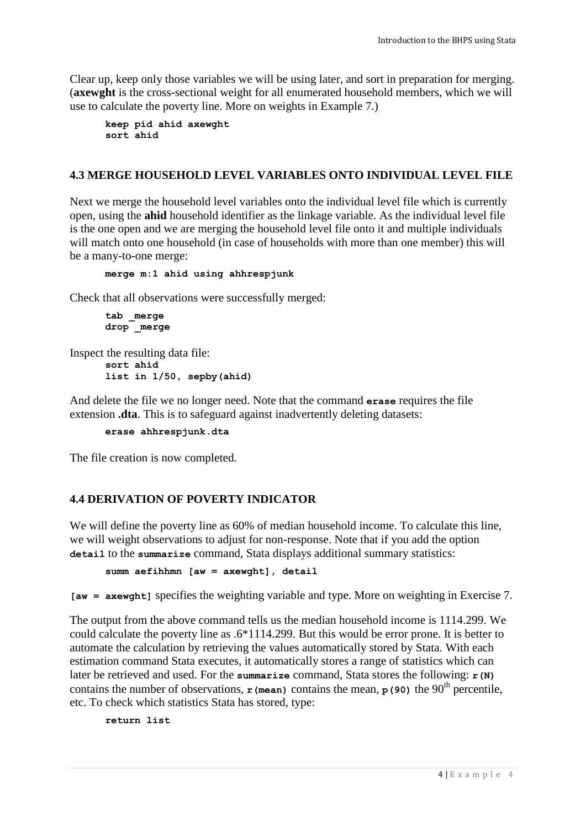Clear up, keep only those variables we will be using later, and sort in preparation for merging. (**axewght** is the cross-sectional weight for all enumerated household members, which we will use to calculate the poverty line. More on weights in Example 7.)

**keep pid ahid axewght sort ahid**

# **4.3 MERGE HOUSEHOLD LEVEL VARIABLES ONTO INDIVIDUAL LEVEL FILE**

Next we merge the household level variables onto the individual level file which is currently open, using the **ahid** household identifier as the linkage variable. As the individual level file is the one open and we are merging the household level file onto it and multiple individuals will match onto one household (in case of households with more than one member) this will be a many-to-one merge:

**merge m:1 ahid using ahhrespjunk**

Check that all observations were successfully merged:

```
tab _merge
drop _merge
```
Inspect the resulting data file: **sort ahid list in 1/50, sepby(ahid)**

And delete the file we no longer need. Note that the command **erase** requires the file extension **.dta**. This is to safeguard against inadvertently deleting datasets:

**erase ahhrespjunk.dta**

The file creation is now completed.

# **4.4 DERIVATION OF POVERTY INDICATOR**

We will define the poverty line as 60% of median household income. To calculate this line, we will weight observations to adjust for non-response. Note that if you add the option **detail** to the **summarize** command, Stata displays additional summary statistics:

**summ aefihhmn [aw = axewght], detail**

**[aw = axewght]** specifies the weighting variable and type. More on weighting in Exercise 7.

The output from the above command tells us the median household income is 1114.299. We could calculate the poverty line as .6\*1114.299. But this would be error prone. It is better to automate the calculation by retrieving the values automatically stored by Stata. With each estimation command Stata executes, it automatically stores a range of statistics which can later be retrieved and used. For the **summarize** command, Stata stores the following: **r**(N) contains the number of observations,  $\bf{r}$  (mean) contains the mean,  $\bf{p}$  (90) the 90<sup>th</sup> percentile, etc. To check which statistics Stata has stored, type:

**return list**